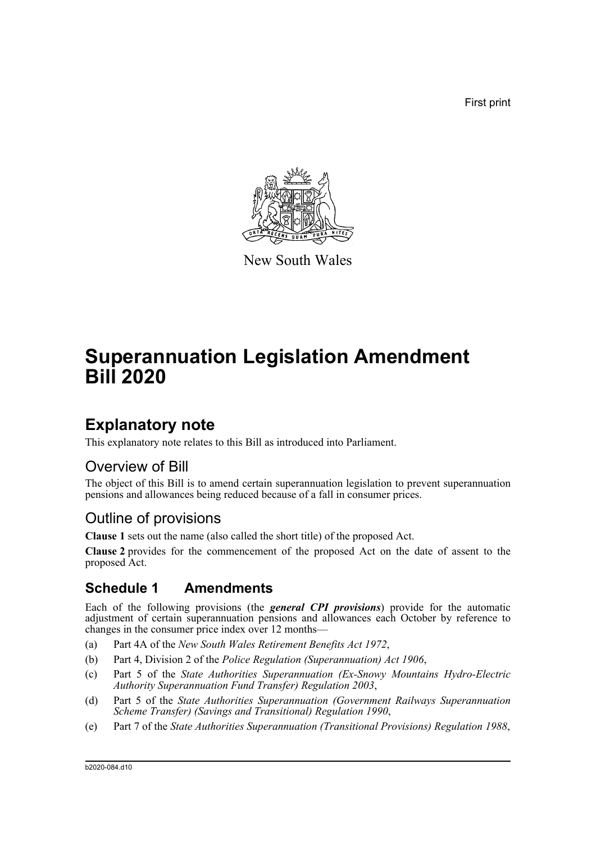First print



New South Wales

# **Superannuation Legislation Amendment Bill 2020**

### **Explanatory note**

This explanatory note relates to this Bill as introduced into Parliament.

### Overview of Bill

The object of this Bill is to amend certain superannuation legislation to prevent superannuation pensions and allowances being reduced because of a fall in consumer prices.

### Outline of provisions

**Clause 1** sets out the name (also called the short title) of the proposed Act.

**Clause 2** provides for the commencement of the proposed Act on the date of assent to the proposed Act.

### **Schedule 1 Amendments**

Each of the following provisions (the *general CPI provisions*) provide for the automatic adjustment of certain superannuation pensions and allowances each October by reference to changes in the consumer price index over 12 months—

- (a) Part 4A of the *New South Wales Retirement Benefits Act 1972*,
- (b) Part 4, Division 2 of the *Police Regulation (Superannuation) Act 1906*,
- (c) Part 5 of the *State Authorities Superannuation (Ex-Snowy Mountains Hydro-Electric Authority Superannuation Fund Transfer) Regulation 2003*,
- (d) Part 5 of the *State Authorities Superannuation (Government Railways Superannuation Scheme Transfer) (Savings and Transitional) Regulation 1990*,
- (e) Part 7 of the *State Authorities Superannuation (Transitional Provisions) Regulation 1988*,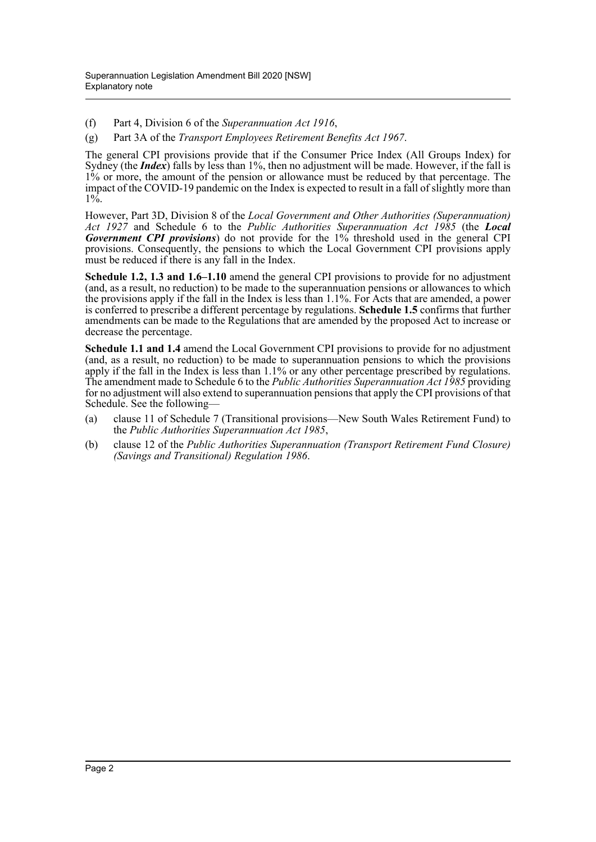(f) Part 4, Division 6 of the *Superannuation Act 1916*,

(g) Part 3A of the *Transport Employees Retirement Benefits Act 1967*.

The general CPI provisions provide that if the Consumer Price Index (All Groups Index) for Sydney (the *Index*) falls by less than 1%, then no adjustment will be made. However, if the fall is 1% or more, the amount of the pension or allowance must be reduced by that percentage. The impact of the COVID-19 pandemic on the Index is expected to result in a fall of slightly more than 1%.

However, Part 3D, Division 8 of the *Local Government and Other Authorities (Superannuation) Act 1927* and Schedule 6 to the *Public Authorities Superannuation Act 1985* (the *Local Government CPI provisions*) do not provide for the 1% threshold used in the general CPI provisions. Consequently, the pensions to which the Local Government CPI provisions apply must be reduced if there is any fall in the Index.

**Schedule 1.2, 1.3 and 1.6–1.10** amend the general CPI provisions to provide for no adjustment (and, as a result, no reduction) to be made to the superannuation pensions or allowances to which the provisions apply if the fall in the Index is less than 1.1%. For Acts that are amended, a power is conferred to prescribe a different percentage by regulations. **Schedule 1.5** confirms that further amendments can be made to the Regulations that are amended by the proposed Act to increase or decrease the percentage.

**Schedule 1.1 and 1.4** amend the Local Government CPI provisions to provide for no adjustment (and, as a result, no reduction) to be made to superannuation pensions to which the provisions apply if the fall in the Index is less than 1.1% or any other percentage prescribed by regulations. The amendment made to Schedule 6 to the *Public Authorities Superannuation Act 1985* providing for no adjustment will also extend to superannuation pensions that apply the CPI provisions of that Schedule. See the following—

- (a) clause 11 of Schedule 7 (Transitional provisions—New South Wales Retirement Fund) to the *Public Authorities Superannuation Act 1985*,
- (b) clause 12 of the *Public Authorities Superannuation (Transport Retirement Fund Closure) (Savings and Transitional) Regulation 1986*.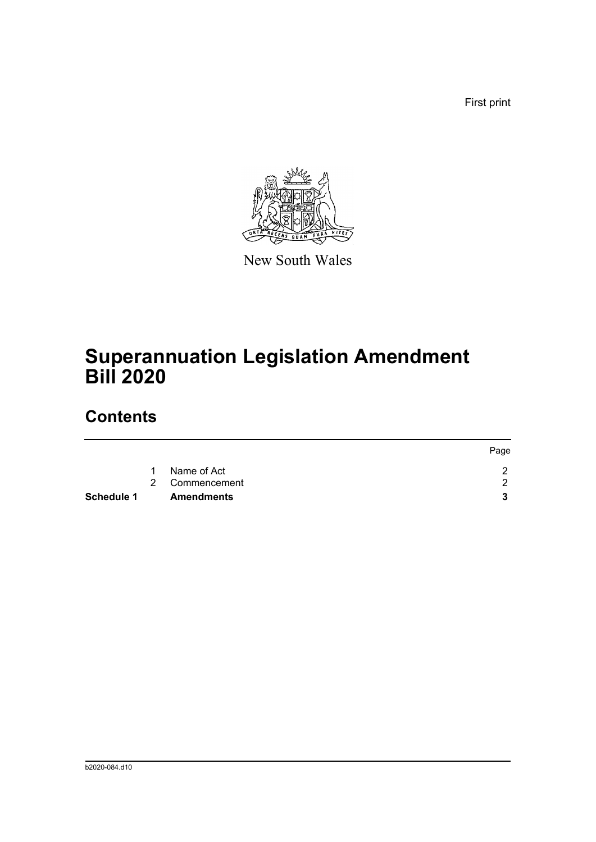First print



New South Wales

## **Superannuation Legislation Amendment Bill 2020**

### **Contents**

| Schedule 1 |   | <b>Amendments</b> |      |
|------------|---|-------------------|------|
|            |   | 2 Commencement    |      |
|            | 1 | Name of Act       |      |
|            |   |                   | Page |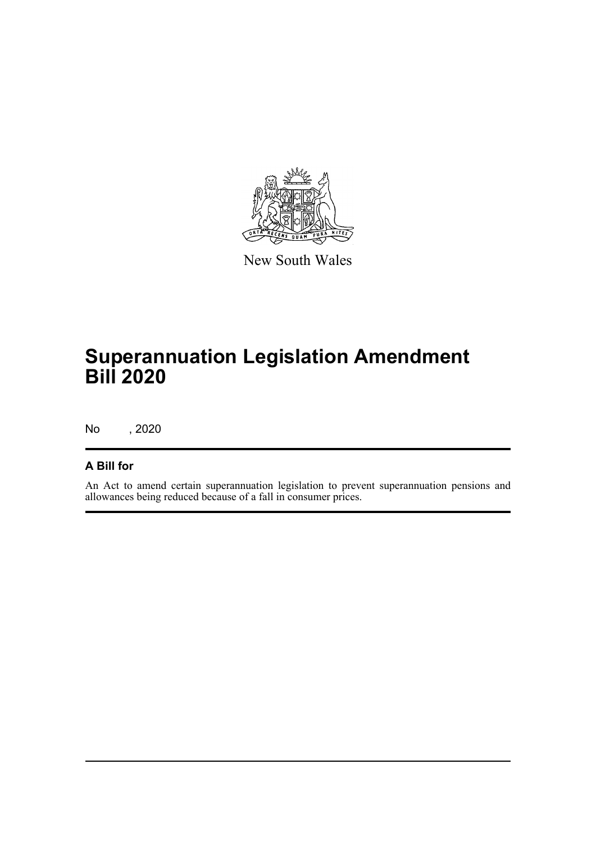

New South Wales

# **Superannuation Legislation Amendment Bill 2020**

No , 2020

#### **A Bill for**

An Act to amend certain superannuation legislation to prevent superannuation pensions and allowances being reduced because of a fall in consumer prices.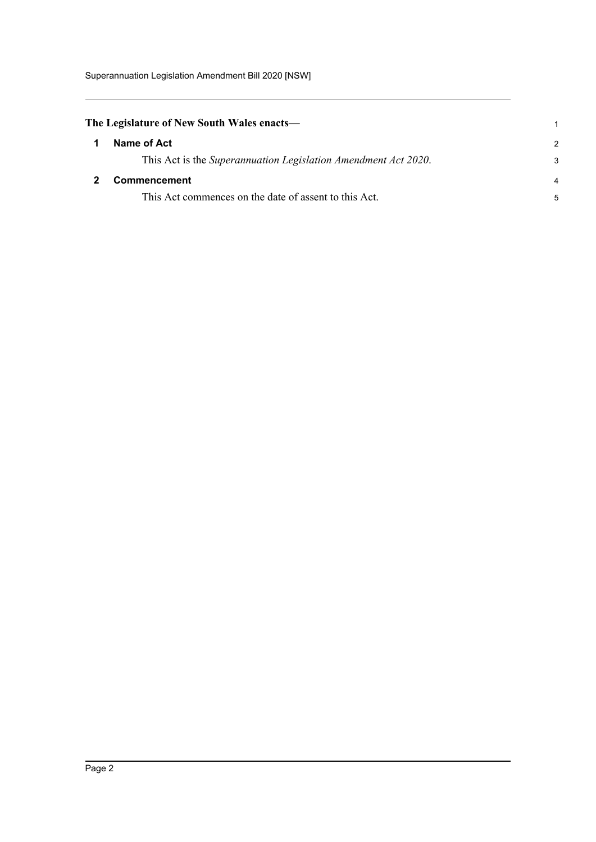Superannuation Legislation Amendment Bill 2020 [NSW]

<span id="page-4-1"></span><span id="page-4-0"></span>

| The Legislature of New South Wales enacts— |                                                                |               |
|--------------------------------------------|----------------------------------------------------------------|---------------|
|                                            | Name of Act                                                    | $\mathcal{P}$ |
|                                            | This Act is the Superannuation Legislation Amendment Act 2020. | 3             |
|                                            | <b>Commencement</b>                                            |               |
|                                            | This Act commences on the date of assent to this Act.          | 5             |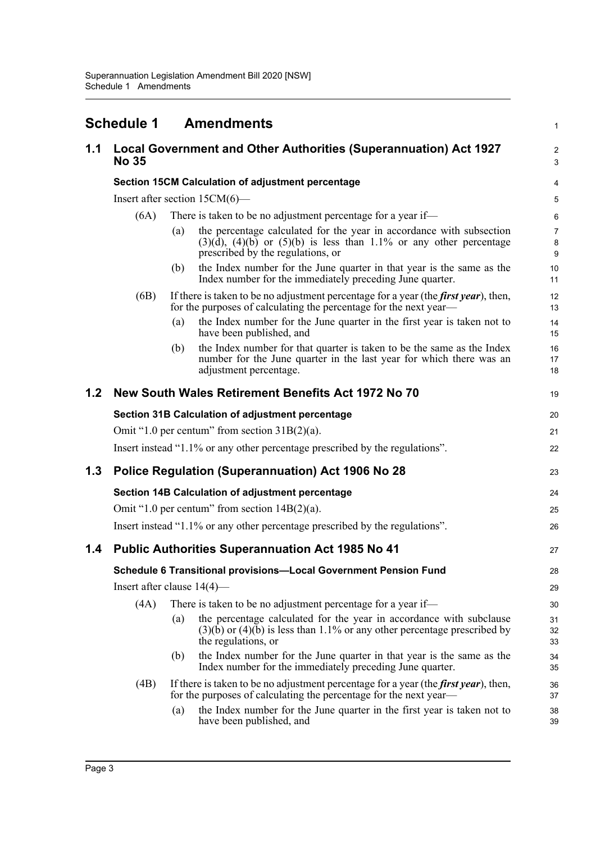<span id="page-5-0"></span>

|     | <b>Schedule 1</b>                                                            |                                                              | <b>Amendments</b>                                                                                                                                                                      | 1                            |  |  |  |  |  |
|-----|------------------------------------------------------------------------------|--------------------------------------------------------------|----------------------------------------------------------------------------------------------------------------------------------------------------------------------------------------|------------------------------|--|--|--|--|--|
| 1.1 | <b>No 35</b>                                                                 |                                                              | Local Government and Other Authorities (Superannuation) Act 1927                                                                                                                       | $\overline{\mathbf{c}}$<br>3 |  |  |  |  |  |
|     |                                                                              | <b>Section 15CM Calculation of adjustment percentage</b>     |                                                                                                                                                                                        |                              |  |  |  |  |  |
|     |                                                                              | Insert after section $15CM(6)$ —                             |                                                                                                                                                                                        |                              |  |  |  |  |  |
|     | (6A)                                                                         | There is taken to be no adjustment percentage for a year if— |                                                                                                                                                                                        | 6                            |  |  |  |  |  |
|     |                                                                              | (a)                                                          | the percentage calculated for the year in accordance with subsection<br>$(3)(d)$ , $(4)(b)$ or $(5)(b)$ is less than 1.1% or any other percentage<br>prescribed by the regulations, or | 7<br>8<br>9                  |  |  |  |  |  |
|     |                                                                              | (b)                                                          | the Index number for the June quarter in that year is the same as the<br>Index number for the immediately preceding June quarter.                                                      | 10<br>11                     |  |  |  |  |  |
|     | (6B)                                                                         |                                                              | If there is taken to be no adjustment percentage for a year (the <i>first year</i> ), then,<br>for the purposes of calculating the percentage for the next year—                       | 12<br>13                     |  |  |  |  |  |
|     |                                                                              | (a)                                                          | the Index number for the June quarter in the first year is taken not to<br>have been published, and                                                                                    | 14<br>15                     |  |  |  |  |  |
|     |                                                                              | (b)                                                          | the Index number for that quarter is taken to be the same as the Index<br>number for the June quarter in the last year for which there was an<br>adjustment percentage.                | 16<br>17<br>18               |  |  |  |  |  |
| 1.2 |                                                                              |                                                              | New South Wales Retirement Benefits Act 1972 No 70                                                                                                                                     | 19                           |  |  |  |  |  |
|     |                                                                              |                                                              | Section 31B Calculation of adjustment percentage                                                                                                                                       | 20                           |  |  |  |  |  |
|     | Omit "1.0 per centum" from section $31B(2)(a)$ .                             |                                                              |                                                                                                                                                                                        |                              |  |  |  |  |  |
|     |                                                                              |                                                              | Insert instead "1.1% or any other percentage prescribed by the regulations".                                                                                                           | 22                           |  |  |  |  |  |
| 1.3 | Police Regulation (Superannuation) Act 1906 No 28                            |                                                              |                                                                                                                                                                                        |                              |  |  |  |  |  |
|     | Section 14B Calculation of adjustment percentage                             |                                                              |                                                                                                                                                                                        |                              |  |  |  |  |  |
|     | Omit "1.0 per centum" from section $14B(2)(a)$ .                             |                                                              |                                                                                                                                                                                        |                              |  |  |  |  |  |
|     | Insert instead "1.1% or any other percentage prescribed by the regulations". |                                                              |                                                                                                                                                                                        |                              |  |  |  |  |  |
| 1.4 |                                                                              |                                                              | <b>Public Authorities Superannuation Act 1985 No 41</b>                                                                                                                                | 27                           |  |  |  |  |  |
|     | Schedule 6 Transitional provisions-Local Government Pension Fund             |                                                              |                                                                                                                                                                                        |                              |  |  |  |  |  |
|     | Insert after clause $14(4)$ —                                                |                                                              |                                                                                                                                                                                        |                              |  |  |  |  |  |
|     | (4A)                                                                         |                                                              | There is taken to be no adjustment percentage for a year if—                                                                                                                           | 30                           |  |  |  |  |  |
|     |                                                                              | (a)                                                          | the percentage calculated for the year in accordance with subclause<br>$(3)(b)$ or $(4)(b)$ is less than 1.1% or any other percentage prescribed by<br>the regulations, or             | 31<br>32<br>33               |  |  |  |  |  |
|     |                                                                              | (b)                                                          | the Index number for the June quarter in that year is the same as the<br>Index number for the immediately preceding June quarter.                                                      | 34<br>35                     |  |  |  |  |  |
|     | (4B)                                                                         |                                                              | If there is taken to be no adjustment percentage for a year (the <i>first year</i> ), then,<br>for the purposes of calculating the percentage for the next year—                       | 36<br>37                     |  |  |  |  |  |
|     |                                                                              | (a)                                                          | the Index number for the June quarter in the first year is taken not to<br>have been published, and                                                                                    | 38<br>39                     |  |  |  |  |  |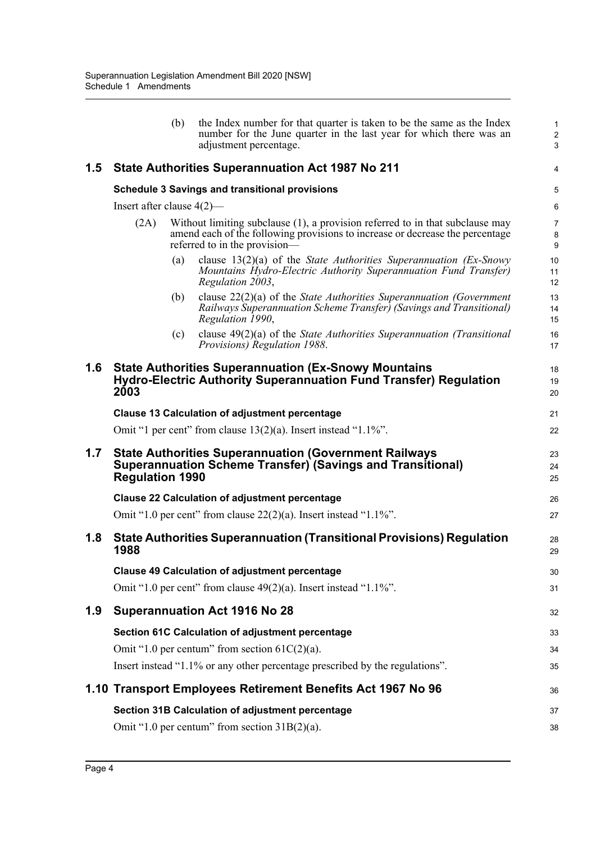|     |                                                                                       | (b) | the Index number for that quarter is taken to be the same as the Index<br>number for the June quarter in the last year for which there was an<br>adjustment percentage.                            | $\mathbf{1}$<br>$\sqrt{2}$<br>3         |  |  |
|-----|---------------------------------------------------------------------------------------|-----|----------------------------------------------------------------------------------------------------------------------------------------------------------------------------------------------------|-----------------------------------------|--|--|
| 1.5 |                                                                                       |     | <b>State Authorities Superannuation Act 1987 No 211</b>                                                                                                                                            | 4                                       |  |  |
|     | <b>Schedule 3 Savings and transitional provisions</b><br>Insert after clause $4(2)$ — |     |                                                                                                                                                                                                    |                                         |  |  |
|     |                                                                                       |     |                                                                                                                                                                                                    |                                         |  |  |
|     | (2A)                                                                                  |     | Without limiting subclause $(1)$ , a provision referred to in that subclause may<br>amend each of the following provisions to increase or decrease the percentage<br>referred to in the provision— | $\overline{7}$<br>8<br>$\boldsymbol{9}$ |  |  |
|     |                                                                                       | (a) | clause $13(2)(a)$ of the <i>State Authorities Superannuation (Ex-Snowy</i> )<br>Mountains Hydro-Electric Authority Superannuation Fund Transfer)<br>Regulation 2003,                               | 10<br>11<br>12                          |  |  |
|     |                                                                                       | (b) | clause $22(2)(a)$ of the State Authorities Superannuation (Government<br>Railways Superannuation Scheme Transfer) (Savings and Transitional)<br>Regulation 1990,                                   | 13<br>14<br>15                          |  |  |
|     |                                                                                       | (c) | clause $49(2)(a)$ of the State Authorities Superannuation (Transitional<br>Provisions) Regulation 1988.                                                                                            | 16<br>17                                |  |  |
| 1.6 | 2003                                                                                  |     | <b>State Authorities Superannuation (Ex-Snowy Mountains</b><br><b>Hydro-Electric Authority Superannuation Fund Transfer) Regulation</b>                                                            | 18<br>19<br>20                          |  |  |
|     |                                                                                       |     | <b>Clause 13 Calculation of adjustment percentage</b>                                                                                                                                              | 21                                      |  |  |
|     |                                                                                       |     | Omit "1 per cent" from clause $13(2)(a)$ . Insert instead "1.1%".                                                                                                                                  | 22                                      |  |  |
| 1.7 | <b>Regulation 1990</b>                                                                |     | <b>State Authorities Superannuation (Government Railways</b><br><b>Superannuation Scheme Transfer) (Savings and Transitional)</b>                                                                  | 23<br>24<br>25                          |  |  |
|     |                                                                                       |     | <b>Clause 22 Calculation of adjustment percentage</b>                                                                                                                                              | 26                                      |  |  |
|     |                                                                                       |     | Omit "1.0 per cent" from clause $22(2)(a)$ . Insert instead "1.1%".                                                                                                                                | 27                                      |  |  |
| 1.8 | 1988                                                                                  |     | <b>State Authorities Superannuation (Transitional Provisions) Regulation</b>                                                                                                                       | 28<br>29                                |  |  |
|     |                                                                                       |     | <b>Clause 49 Calculation of adjustment percentage</b>                                                                                                                                              | 30                                      |  |  |
|     |                                                                                       |     | Omit "1.0 per cent" from clause $49(2)(a)$ . Insert instead "1.1%".                                                                                                                                | 31                                      |  |  |
| 1.9 |                                                                                       |     | <b>Superannuation Act 1916 No 28</b>                                                                                                                                                               | 32                                      |  |  |
|     |                                                                                       |     | Section 61C Calculation of adjustment percentage                                                                                                                                                   | 33                                      |  |  |
|     |                                                                                       |     | Omit "1.0 per centum" from section $61C(2)(a)$ .                                                                                                                                                   | 34                                      |  |  |
|     |                                                                                       |     | Insert instead "1.1% or any other percentage prescribed by the regulations".                                                                                                                       | 35                                      |  |  |
|     |                                                                                       |     | 1.10 Transport Employees Retirement Benefits Act 1967 No 96                                                                                                                                        | 36                                      |  |  |
|     |                                                                                       |     | Section 31B Calculation of adjustment percentage                                                                                                                                                   | 37                                      |  |  |
|     |                                                                                       |     | Omit "1.0 per centum" from section $31B(2)(a)$ .                                                                                                                                                   | 38                                      |  |  |